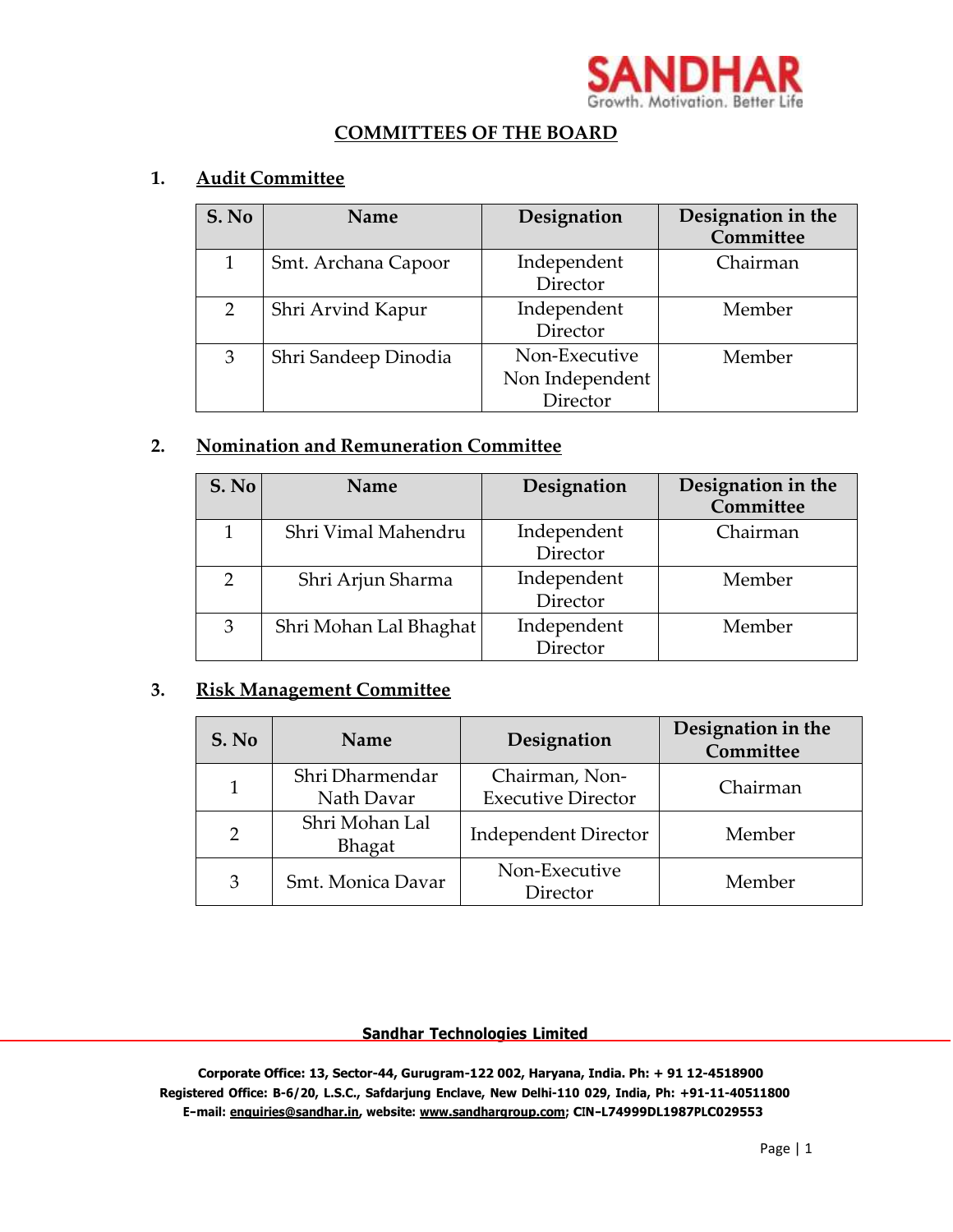

### **COMMITTEES OF THE BOARD**

#### **1. Audit Committee**

| S. No         | <b>Name</b>          | Designation                                  | Designation in the<br>Committee |
|---------------|----------------------|----------------------------------------------|---------------------------------|
|               | Smt. Archana Capoor  | Independent<br>Director                      | Chairman                        |
| $\mathcal{P}$ | Shri Arvind Kapur    | Independent<br>Director                      | Member                          |
| 3             | Shri Sandeep Dinodia | Non-Executive<br>Non Independent<br>Director | Member                          |

# **2. Nomination and Remuneration Committee**

| S. No         | Name                   | Designation             | Designation in the<br>Committee |
|---------------|------------------------|-------------------------|---------------------------------|
|               | Shri Vimal Mahendru    | Independent<br>Director | Chairman                        |
| $\mathcal{D}$ | Shri Arjun Sharma      | Independent<br>Director | Member                          |
| 3             | Shri Mohan Lal Bhaghat | Independent<br>Director | Member                          |

# **3. Risk Management Committee**

| S. No          | <b>Name</b>                   | Designation                                 | Designation in the<br>Committee |
|----------------|-------------------------------|---------------------------------------------|---------------------------------|
|                | Shri Dharmendar<br>Nath Davar | Chairman, Non-<br><b>Executive Director</b> | Chairman                        |
| $\overline{2}$ | Shri Mohan Lal<br>Bhagat      | <b>Independent Director</b>                 | Member                          |
| 3              | Smt. Monica Davar             | Non-Executive<br>Director                   | Member                          |

#### **Sandhar Technologies Limited**

**Corporate Office: 13, Sector-44, Gurugram-122 002, Haryana, India. Ph: + 91 12-4518900 Registered Office: B-6/20, L.S.C., Safdarjung Enclave, New Delhi-110 029, India, Ph: +91-11-40511800 E-mail: [enquiries@sandhar.in,](mailto:enquiries@sandhar.in) website: [www.sandhargroup.com;](http://www.sandhargroup.com/) CIN-L74999DL1987PLC029553**